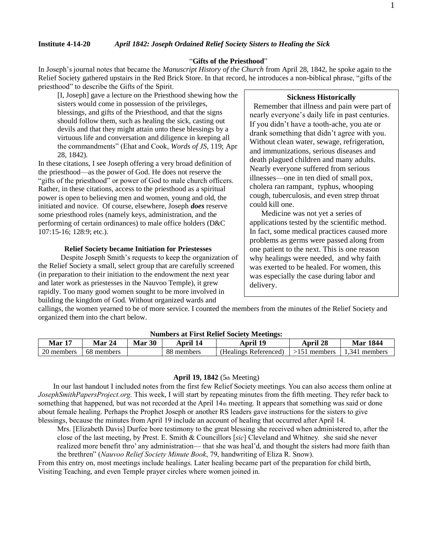## "**Gifts of the Priesthood**"

In Joseph's journal notes that became the *Manuscript History of the Church* from April 28, 1842, he spoke again to the Relief Society gathered upstairs in the Red Brick Store. In that record, he introduces a non-biblical phrase, "gifts of the priesthood" to describe the Gifts of the Spirit.

[I, Joseph] gave a lecture on the Priesthood shewing how the sisters would come in possession of the privileges, blessings, and gifts of the Priesthood, and that the signs should follow them, such as healing the sick, casting out devils and that they might attain unto these blessings by a virtuous life and conversation and diligence in keeping all the commandments" (Ehat and Cook, *Words of JS,* 119; Apr 28, 1842).

In these citations, I see Joseph offering a very broad definition of the priesthood—as the power of God. He does not reserve the "gifts of the priesthood" or power of God to male church officers. Rather, in these citations, access to the priesthood as a spiritual power is open to believing men and women, young and old, the initiated and novice. Of course, elsewhere, Joseph *does* reserve some priesthood roles (namely keys, administration, and the performing of certain ordinances) to male office holders (D&C 107:15-16; 128:9; etc.).

## **Relief Society became Initiation for Priestesses**

 Despite Joseph Smith's requests to keep the organization of the Relief Society a small, select group that are carefully screened (in preparation to their initiation to the endowment the next year and later work as priestesses in the Nauvoo Temple), it grew rapidly. Too many good women sought to be more involved in building the kingdom of God. Without organized wards and

# **Sickness Historically**

 Remember that illness and pain were part of nearly everyone's daily life in past centuries. If you didn't have a tooth-ache, you ate or drank something that didn't agree with you. Without clean water, sewage, refrigeration, and immunizations, serious diseases and death plagued children and many adults. Nearly everyone suffered from serious illnesses—one in ten died of small pox, cholera ran rampant, typhus, whooping cough, tuberculosis, and even strep throat could kill one.

 Medicine was not yet a series of applications tested by the scientific method. In fact, some medical practices caused more problems as germs were passed along from one patient to the next. This is one reason why healings were needed, and why faith was exerted to be healed. For women, this was especially the case during labor and delivery.

callings, the women yearned to be of more service. I counted the members from the minutes of the Relief Society and organized them into the chart below.

| rumbers at 1 nst iwint society bicemics. |            |           |            |                       |                |                  |
|------------------------------------------|------------|-----------|------------|-----------------------|----------------|------------------|
| <b>Mar 17</b>                            | 24<br>Mar  | 30<br>Mar | April 14   | 19<br>April           | April 28       | <b>Mar 1844</b>  |
| 20 members                               | 68 members |           | 88 members | (Healings Referenced) | $>151$ members | 1.341<br>members |
|                                          |            |           |            |                       |                |                  |

# **Numbers at First Relief Society Meetings:**

#### **April 19, 1842** (5th Meeting)

 In our last handout I included notes from the first few Relief Society meetings. You can also access them online at *JosephSmithPapersProject.org*. This week, I will start by repeating minutes from the fifth meeting. They refer back to something that happened, but was not recorded at the April 14th meeting. It appears that something was said or done about female healing. Perhaps the Prophet Joseph or another RS leaders gave instructions for the sisters to give blessings, because the minutes from April 19 include an account of healing that occurred after April 14.

Mrs. [Elizabeth Davis] Durfee bore testimony to the great blessing she received when administered to, after the close of the last meeting, by Prest. E. Smith & Councillors [*sic*] Cleveland and Whitney. she said she never realized more benefit thro' any administration— that she was heal'd, and thought the sisters had more faith than the brethren" (*Nauvoo Relief Society Minute Book*, 79, handwriting of Eliza R. Snow).

From this entry on, most meetings include healings. Later healing became part of the preparation for child birth, Visiting Teaching, and even Temple prayer circles where women joined in.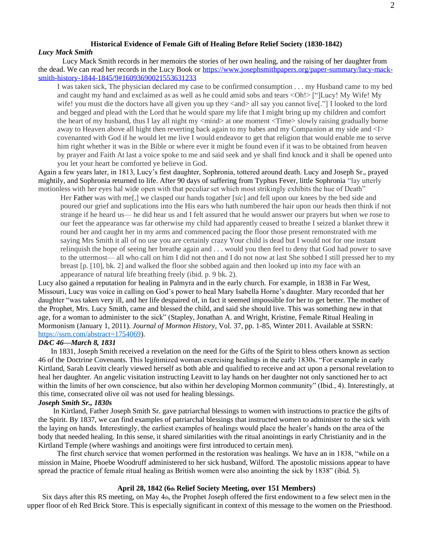#### **Historical Evidence of Female Gift of Healing Before Relief Society (1830-1842)** *Lucy Mack Smith*

 Lucy Mack Smith records in her memoirs the stories of her own healing, and the raising of her daughter from the dead. We can read her records in the Lucy Book or [https://www.josephsmithpapers.org/paper-summary/lucy-mack](https://www.josephsmithpapers.org/paper-summary/lucy-mack-smith-history-1844-1845/9#16093690021553631233)[smith-history-1844-1845/9#16093690021553631233](https://www.josephsmithpapers.org/paper-summary/lucy-mack-smith-history-1844-1845/9#16093690021553631233)

I was taken sick, The physician declared my case to be confirmed consumption . . . my Husband came to my bed and caught my hand and exclaimed as as well as he could amid sobs and tears <Oh!> ["]Lucy! My Wife! My wife! you must die the doctors have all given you up they <and> all say you cannot live[."] I looked to the lord and begged and plead with the Lord that he would spare my life that I might bring up my children and comfort the heart of my husband, thus I lay all night my <mind> at one moment <Time> slowly raising gradually borne away to Heaven above all hight then reverting back again to my babes and my Companion at my side and <I> covenanted with God if he would let me live I would endeavor to get that religion that would enable me to serve him right whether it was in the Bible or where ever it might be found even if it was to be obtained from heaven by prayer and Faith At last a voice spoke to me and said seek and ye shall find knock and it shall be opened unto you let your heart be comforted ye believe in God.

Again a few years later, in 1813, Lucy's first daughter, Sophronia, tottered around death. Lucy and Joseph Sr., prayed mightily, and Sophronia returned to life. After 90 days of suffering from Typhus Fever, little Sophronia "lay utterly motionless with her eyes hal wide open with that peculiar set which most strikingly exhibits the hue of Death"

Her Father was with me[,] we clasped our hands togather [*sic*] and fell upon our knees by the bed side and poured our grief and suplications into the His ears who hath numbered the hair upon our heads then think if not strange if he heard us— he did hear us and I felt assured that he would answer our prayers but when we rose to our feet the appearance was far otherwise my child had apparently ceased to breathe I seized a blanket threw it round her and caught her in my arms and commenced pacing the floor those present remonstrated with me saying Mrs Smith it all of no use you are certainly crazy Your child is dead but I would not for one instant relinquish the hope of seeing her breathe again and . . . would you then feel to deny that God had power to save to the uttermost— all who call on him I did not then and I do not now at last She sobbed I still pressed her to my breast [p. [10], bk. 2] and walked the floor she sobbed again and then looked up into my face with an appearance of natural life breathing freely (ibid. p. 9 bk. 2).

Lucy also gained a reputation for healing in Palmyra and in the early church. For example, in 1838 in Far West, Missouri, Lucy was voice in calling on God's power to heal Mary Isabella Horne's daughter. Mary recorded that her daughter "was taken very ill, and her life despaired of, in fact it seemed impossible for her to get better. The mother of the Prophet, Mrs. Lucy Smith, came and blessed the child, and said she should live. This was something new in that age, for a woman to administer to the sick" (Stapley, Jonathan A. and Wright, Kristine, Female Ritual Healing in Mormonism (January 1, 2011). *Journal of Mormon History*, Vol. 37, pp. 1-85, Winter 2011. Available at SSRN: [https://ssrn.com/abstract=1754069\)](https://ssrn.com/abstract=1754069).

# *D&C 46—March 8, 1831*

In 1831, Joseph Smith received a revelation on the need for the Gifts of the Spirit to bless others known as section 46 of the Doctrine Covenants. This legitimized woman exercising healings in the early 1830s. "For example in early Kirtland, Sarah Leavitt clearly viewed herself as both able and qualified to receive and act upon a personal revelation to heal her daughter. An angelic visitation instructing Leavitt to lay hands on her daughter not only sanctioned her to act within the limits of her own conscience, but also within her developing Mormon community" (Ibid., 4). Interestingly, at this time, consecrated olive oil was not used for healing blessings.

#### *Joseph Smith Sr., 1830s*

 In Kirtland, Father Joseph Smith Sr. gave patriarchal blessings to women with instructions to practice the gifts of the Spirit. By 1837, we can find examples of patriarchal blessings that instructed women to administer to the sick with the laying on hands. Interestingly, the earliest examples of healings would place the healer's hands on the area of the body that needed healing. In this sense, it shared similarities with the ritual anointings in early Christianity and in the Kirtland Temple (where washings and anoitings were first introduced to certain men).

 The first church service that women performed in the restoration was healings. We have an in 1838, "while on a mission in Maine, Phoebe Woodruff administered to her sick husband, Wilford. The apostolic missions appear to have spread the practice of female ritual healing as British women were also anointing the sick by 1838" (ibid. 5).

# **April 28, 1842 (6th Relief Society Meeting, over 151 Members)**

Six days after this RS meeting, on May 4th, the Prophet Joseph offered the first endowment to a few select men in the upper floor of eh Red Brick Store. This is especially significant in context of this message to the women on the Priesthood.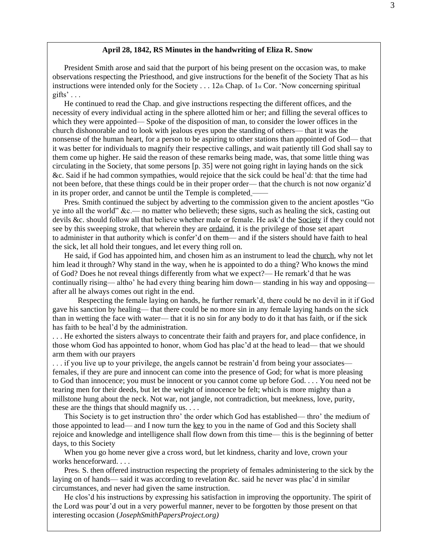## **April 28, 1842, RS Minutes in the handwriting of Eliza R. Snow**

President Smith arose and said that the purport of his being present on the occasion was, to make observations respecting the Priesthood, and give instructions for the benefit of the Society That as his instructions were intended only for the Society  $\dots$  12th Chap. of 1st Cor. 'Now concerning spiritual gifts'  $\ldots$ 

He continued to read the Chap. and give instructions respecting the different offices, and the necessity of every individual acting in the sphere allotted him or her; and filling the several offices to which they were appointed— Spoke of the disposition of man, to consider the lower offices in the church dishonorable and to look with jealous eyes upon the standing of others— that it was the nonsense of the human heart, for a person to be aspiring to other stations than appointed of God— that it was better for individuals to magnify their respective callings, and wait patiently till God shall say to them come up higher. He said the reason of these remarks being made, was, that some little thing was circulating in the Society, that some persons [p. 35] were not going right in laying hands on the sick &c. Said if he had common sympathies, would rejoice that the sick could be heal'd: that the time had not been before, that these things could be in their proper order— that the church is not now organiz'd in its proper order, and cannot be until the Temple is completed ——

Prest. Smith continued the subject by adverting to the commission given to the ancient apostles "Go ye into all the world" &c.— no matter who believeth; these signs, such as healing the sick, casting out devils &c. should follow all that believe whether male or female. He ask'd the [Society](https://www.josephsmithpapers.org/paper-summary/nauvoo-relief-society-minute-book/6#_blank) if they could not see by this sweeping stroke, that wherein they are [ordaind,](https://www.josephsmithpapers.org/paper-summary/nauvoo-relief-society-minute-book/6#16827559355735284948) it is the privilege of those set apart to administer in that authority which is confer'd on them— and if the sisters should have faith to heal the sick, let all hold their tongues, and let every thing roll on.

He said, if God has appointed him, and chosen him as an instrument to lead the [church,](https://www.josephsmithpapers.org/paper-summary/nauvoo-relief-society-minute-book/6#_blank) why not let him lead it through? Why stand in the way, when he is appointed to do a thing? Who knows the mind of God? Does he not reveal things differently from what we expect?— He remark'd that he was continually rising— altho' he had every thing bearing him down— standing in his way and opposing after all he always comes out right in the end.

 Respecting the female laying on hands, he further remark'd, there could be no devil in it if God gave his sanction by healing— that there could be no more sin in any female laying hands on the sick than in wetting the face with water— that it is no sin for any body to do it that has faith, or if the sick has faith to be heal'd by the administration.

. . . He exhorted the sisters always to concentrate their faith and prayers for, and place confidence, in those whom God has appointed to honor, whom God has plac'd at the head to lead— that we should arm them with our prayers

. . . if you live up to your privilege, the angels cannot be restrain'd from being your associates females, if they are pure and innocent can come into the presence of God; for what is more pleasing to God than innocence; you must be innocent or you cannot come up before God. . . . You need not be tearing men for their deeds, but let the weight of innocence be felt; which is more mighty than a millstone hung about the neck. Not war, not jangle, not contradiction, but meekness, love, purity, these are the things that should magnify us. . . .

This Society is to get instruction thro' the order which God has established— thro' the medium of those appointed to lead— and I now turn the [key](https://www.josephsmithpapers.org/paper-summary/nauvoo-relief-society-minute-book/6#_blank) to you in the name of God and this Society shall rejoice and knowledge and intelligence shall flow down from this time— this is the beginning of better days, to this Society

When you go home never give a cross word, but let kindness, charity and love, crown your works henceforward. . . .

Prest. S. then offered instruction respecting the propriety of females administering to the sick by the laying on of hands— said it was according to revelation &c. said he never was plac'd in similar circumstances, and never had given the same instruction.

He clos'd his instructions by expressing his satisfaction in improving the opportunity. The spirit of the Lord was pour'd out in a very powerful manner, never to be forgotten by those present on that interesting occasion (*JosephSmithPapersProject.org)*